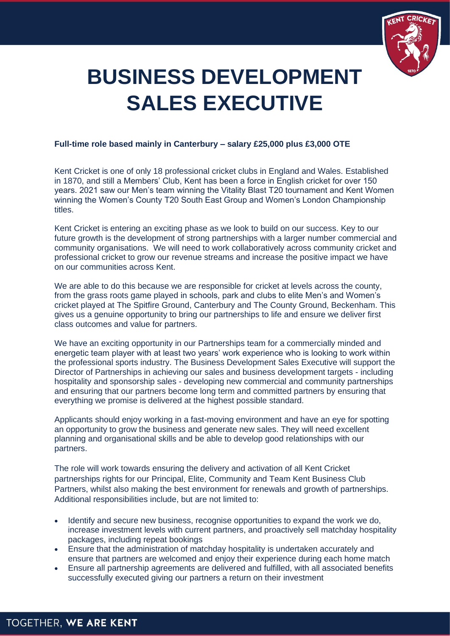

# **BUSINESS DEVELOPMENT SALES EXECUTIVE**

#### **Full-time role based mainly in Canterbury – salary £25,000 plus £3,000 OTE**

Kent Cricket is one of only 18 professional cricket clubs in England and Wales. Established in 1870, and still a Members' Club, Kent has been a force in English cricket for over 150 years. 2021 saw our Men's team winning the Vitality Blast T20 tournament and Kent Women winning the Women's County T20 South East Group and Women's London Championship titles.

Kent Cricket is entering an exciting phase as we look to build on our success. Key to our future growth is the development of strong partnerships with a larger number commercial and community organisations. We will need to work collaboratively across community cricket and professional cricket to grow our revenue streams and increase the positive impact we have on our communities across Kent.

We are able to do this because we are responsible for cricket at levels across the county. from the grass roots game played in schools, park and clubs to elite Men's and Women's cricket played at The Spitfire Ground, Canterbury and The County Ground, Beckenham. This gives us a genuine opportunity to bring our partnerships to life and ensure we deliver first class outcomes and value for partners.

We have an exciting opportunity in our Partnerships team for a commercially minded and energetic team player with at least two years' work experience who is looking to work within the professional sports industry. The Business Development Sales Executive will support the Director of Partnerships in achieving our sales and business development targets - including hospitality and sponsorship sales - developing new commercial and community partnerships and ensuring that our partners become long term and committed partners by ensuring that everything we promise is delivered at the highest possible standard.

Applicants should enjoy working in a fast-moving environment and have an eye for spotting an opportunity to grow the business and generate new sales. They will need excellent planning and organisational skills and be able to develop good relationships with our partners.

The role will work towards ensuring the delivery and activation of all Kent Cricket partnerships rights for our Principal, Elite, Community and Team Kent Business Club Partners, whilst also making the best environment for renewals and growth of partnerships. Additional responsibilities include, but are not limited to:

- Identify and secure new business, recognise opportunities to expand the work we do, increase investment levels with current partners, and proactively sell matchday hospitality packages, including repeat bookings
- Ensure that the administration of matchday hospitality is undertaken accurately and ensure that partners are welcomed and enjoy their experience during each home match
- Ensure all partnership agreements are delivered and fulfilled, with all associated benefits successfully executed giving our partners a return on their investment